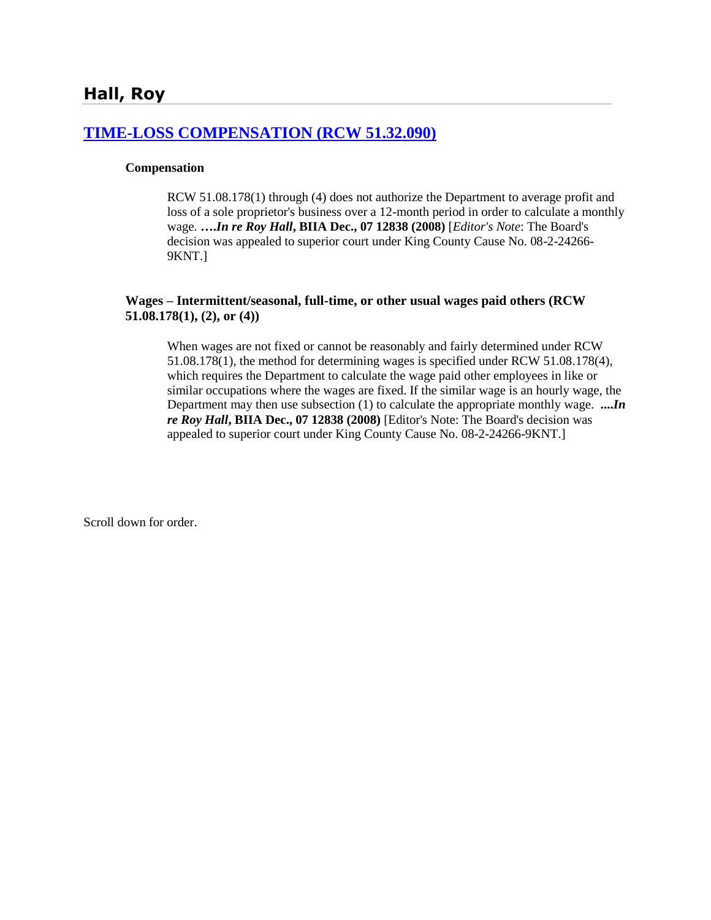#### **[TIME-LOSS COMPENSATION \(RCW 51.32.090\)](http://www.biia.wa.gov/SDSubjectIndex.html#TIME_LOSS_COMPENSATION)**

#### **Compensation**

RCW 51.08.178(1) through (4) does not authorize the Department to average profit and loss of a sole proprietor's business over a 12-month period in order to calculate a monthly wage. **….***In re Roy Hall***, BIIA Dec., 07 12838 (2008)** [*Editor's Note*: The Board's decision was appealed to superior court under King County Cause No. 08-2-24266- 9KNT.]

#### **Wages – Intermittent/seasonal, full-time, or other usual wages paid others (RCW 51.08.178(1), (2), or (4))**

When wages are not fixed or cannot be reasonably and fairly determined under RCW 51.08.178(1), the method for determining wages is specified under RCW 51.08.178(4), which requires the Department to calculate the wage paid other employees in like or similar occupations where the wages are fixed. If the similar wage is an hourly wage, the Department may then use subsection (1) to calculate the appropriate monthly wage. **....***In re Roy Hall***, BIIA Dec., 07 12838 (2008)** [Editor's Note: The Board's decision was appealed to superior court under King County Cause No. 08-2-24266-9KNT.]

Scroll down for order.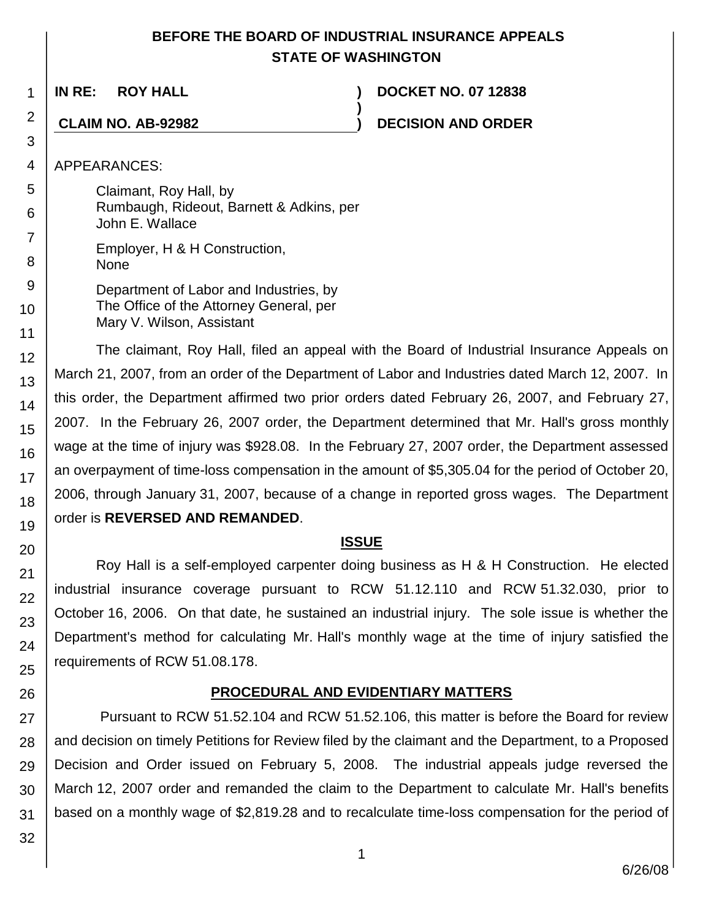## **BEFORE THE BOARD OF INDUSTRIAL INSURANCE APPEALS STATE OF WASHINGTON**

**)**

1

2

3 4

5 6

7

8 9

10

11

12

13 14

15

16

17

18 19

20

21 22

23

24

25

26

**IN RE: ROY HALL ) DOCKET NO. 07 12838**

**CLAIM NO. AB-92982 ) DECISION AND ORDER**

APPEARANCES:

Claimant, Roy Hall, by Rumbaugh, Rideout, Barnett & Adkins, per John E. Wallace

Employer, H & H Construction, **None** 

Department of Labor and Industries, by The Office of the Attorney General, per Mary V. Wilson, Assistant

The claimant, Roy Hall, filed an appeal with the Board of Industrial Insurance Appeals on March 21, 2007, from an order of the Department of Labor and Industries dated March 12, 2007. In this order, the Department affirmed two prior orders dated February 26, 2007, and February 27, 2007. In the February 26, 2007 order, the Department determined that Mr. Hall's gross monthly wage at the time of injury was \$928.08. In the February 27, 2007 order, the Department assessed an overpayment of time-loss compensation in the amount of \$5,305.04 for the period of October 20, 2006, through January 31, 2007, because of a change in reported gross wages. The Department order is **REVERSED AND REMANDED**.

## **ISSUE**

Roy Hall is a self-employed carpenter doing business as H & H Construction. He elected industrial insurance coverage pursuant to RCW 51.12.110 and RCW 51.32.030, prior to October 16, 2006. On that date, he sustained an industrial injury. The sole issue is whether the Department's method for calculating Mr. Hall's monthly wage at the time of injury satisfied the requirements of RCW 51.08.178.

# **PROCEDURAL AND EVIDENTIARY MATTERS**

27 28 29 30 31 Pursuant to RCW 51.52.104 and RCW 51.52.106, this matter is before the Board for review and decision on timely Petitions for Review filed by the claimant and the Department, to a Proposed Decision and Order issued on February 5, 2008. The industrial appeals judge reversed the March 12, 2007 order and remanded the claim to the Department to calculate Mr. Hall's benefits based on a monthly wage of \$2,819.28 and to recalculate time-loss compensation for the period of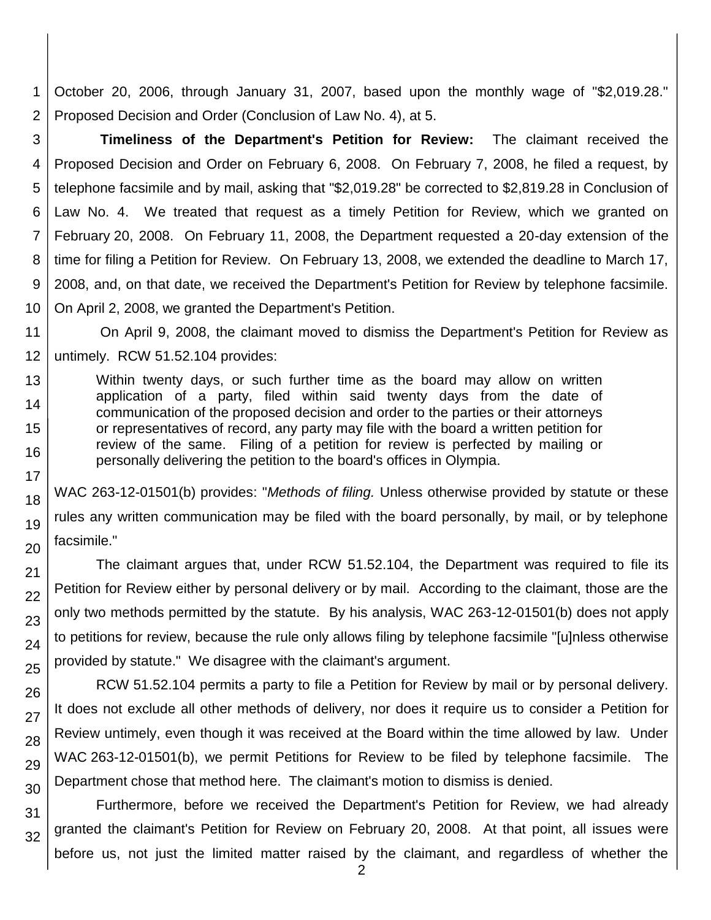1 2 October 20, 2006, through January 31, 2007, based upon the monthly wage of "\$2,019.28." Proposed Decision and Order (Conclusion of Law No. 4), at 5.

3 4 5 6 7 8 9 10 **Timeliness of the Department's Petition for Review:** The claimant received the Proposed Decision and Order on February 6, 2008. On February 7, 2008, he filed a request, by telephone facsimile and by mail, asking that "\$2,019.28" be corrected to \$2,819.28 in Conclusion of Law No. 4. We treated that request as a timely Petition for Review, which we granted on February 20, 2008. On February 11, 2008, the Department requested a 20-day extension of the time for filing a Petition for Review. On February 13, 2008, we extended the deadline to March 17, 2008, and, on that date, we received the Department's Petition for Review by telephone facsimile. On April 2, 2008, we granted the Department's Petition.

11 12 On April 9, 2008, the claimant moved to dismiss the Department's Petition for Review as untimely. RCW 51.52.104 provides:

13 14 15 16 Within twenty days, or such further time as the board may allow on written application of a party, filed within said twenty days from the date of communication of the proposed decision and order to the parties or their attorneys or representatives of record, any party may file with the board a written petition for review of the same. Filing of a petition for review is perfected by mailing or personally delivering the petition to the board's offices in Olympia.

17 18

19

20

21 22

23

24

25

26

27

28

29 30 WAC 263-12-01501(b) provides: "*Methods of filing.* Unless otherwise provided by statute or these rules any written communication may be filed with the board personally, by mail, or by telephone facsimile."

The claimant argues that, under RCW 51.52.104, the Department was required to file its Petition for Review either by personal delivery or by mail. According to the claimant, those are the only two methods permitted by the statute. By his analysis, WAC 263-12-01501(b) does not apply to petitions for review, because the rule only allows filing by telephone facsimile "[u]nless otherwise provided by statute." We disagree with the claimant's argument.

RCW 51.52.104 permits a party to file a Petition for Review by mail or by personal delivery. It does not exclude all other methods of delivery, nor does it require us to consider a Petition for Review untimely, even though it was received at the Board within the time allowed by law. Under WAC 263-12-01501(b), we permit Petitions for Review to be filed by telephone facsimile. The Department chose that method here. The claimant's motion to dismiss is denied.

31 32 Furthermore, before we received the Department's Petition for Review, we had already granted the claimant's Petition for Review on February 20, 2008. At that point, all issues were before us, not just the limited matter raised by the claimant, and regardless of whether the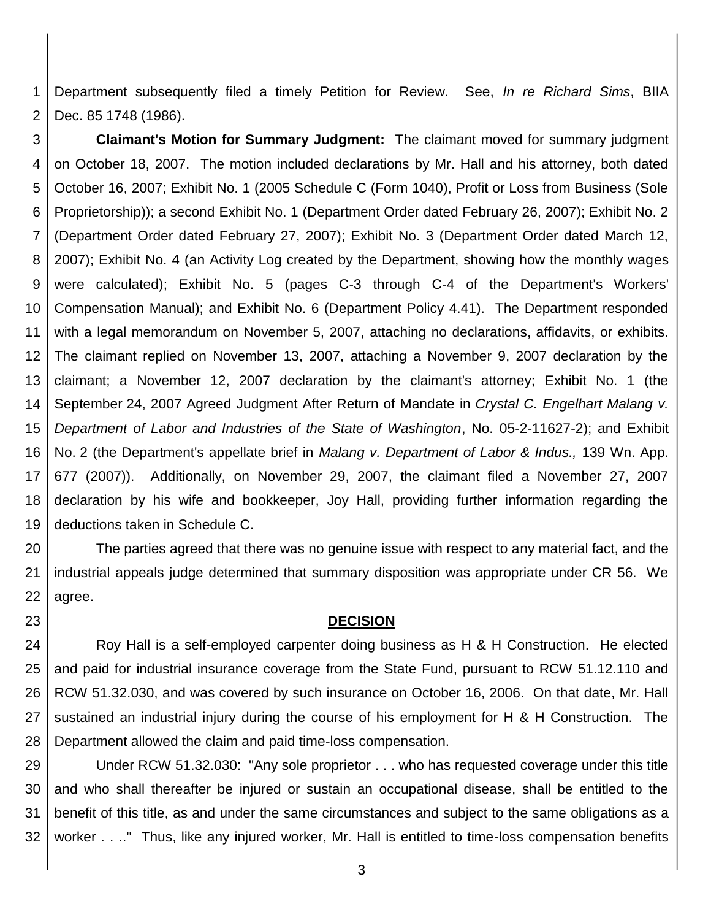1 2 Department subsequently filed a timely Petition for Review. See, *In re Richard Sims*, BIIA Dec. 85 1748 (1986).

3 4 5 6 7 8 9 10 11 12 13 14 15 16 17 18 19 **Claimant's Motion for Summary Judgment:** The claimant moved for summary judgment on October 18, 2007. The motion included declarations by Mr. Hall and his attorney, both dated October 16, 2007; Exhibit No. 1 (2005 Schedule C (Form 1040), Profit or Loss from Business (Sole Proprietorship)); a second Exhibit No. 1 (Department Order dated February 26, 2007); Exhibit No. 2 (Department Order dated February 27, 2007); Exhibit No. 3 (Department Order dated March 12, 2007); Exhibit No. 4 (an Activity Log created by the Department, showing how the monthly wages were calculated); Exhibit No. 5 (pages C-3 through C-4 of the Department's Workers' Compensation Manual); and Exhibit No. 6 (Department Policy 4.41). The Department responded with a legal memorandum on November 5, 2007, attaching no declarations, affidavits, or exhibits. The claimant replied on November 13, 2007, attaching a November 9, 2007 declaration by the claimant; a November 12, 2007 declaration by the claimant's attorney; Exhibit No. 1 (the September 24, 2007 Agreed Judgment After Return of Mandate in *Crystal C. Engelhart Malang v. Department of Labor and Industries of the State of Washington*, No. 05-2-11627-2); and Exhibit No. 2 (the Department's appellate brief in *Malang v. Department of Labor & Indus.,* 139 Wn. App. 677 (2007)). Additionally, on November 29, 2007, the claimant filed a November 27, 2007 declaration by his wife and bookkeeper, Joy Hall, providing further information regarding the deductions taken in Schedule C.

20 21 22 The parties agreed that there was no genuine issue with respect to any material fact, and the industrial appeals judge determined that summary disposition was appropriate under CR 56. We agree.

#### **DECISION**

23

24 25 26 27 28 Roy Hall is a self-employed carpenter doing business as H & H Construction. He elected and paid for industrial insurance coverage from the State Fund, pursuant to RCW 51.12.110 and RCW 51.32.030, and was covered by such insurance on October 16, 2006. On that date, Mr. Hall sustained an industrial injury during the course of his employment for H & H Construction. The Department allowed the claim and paid time-loss compensation.

29 30 31 32 Under RCW 51.32.030: "Any sole proprietor . . . who has requested coverage under this title and who shall thereafter be injured or sustain an occupational disease, shall be entitled to the benefit of this title, as and under the same circumstances and subject to the same obligations as a worker . . .." Thus, like any injured worker, Mr. Hall is entitled to time-loss compensation benefits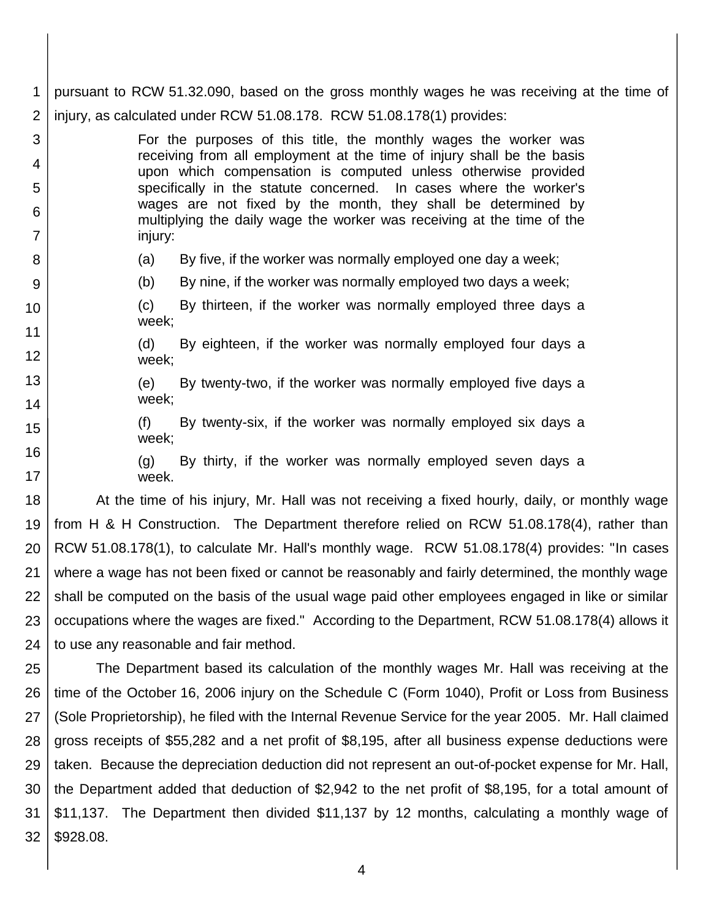1 2 pursuant to RCW 51.32.090, based on the gross monthly wages he was receiving at the time of injury, as calculated under RCW 51.08.178. RCW 51.08.178(1) provides:

For the purposes of this title, the monthly wages the worker was receiving from all employment at the time of injury shall be the basis upon which compensation is computed unless otherwise provided specifically in the statute concerned. In cases where the worker's wages are not fixed by the month, they shall be determined by multiplying the daily wage the worker was receiving at the time of the injury:

3

4

5

6

7

8

9

12

13

14

15

16

17

- (a) By five, if the worker was normally employed one day a week;
- (b) By nine, if the worker was normally employed two days a week;
- 10 11 (c) By thirteen, if the worker was normally employed three days a week;
	- (d) By eighteen, if the worker was normally employed four days a week;
		- (e) By twenty-two, if the worker was normally employed five days a week;
			- (f) By twenty-six, if the worker was normally employed six days a week;
			- (g) By thirty, if the worker was normally employed seven days a week.

18 19 20 21 22 23 24 At the time of his injury, Mr. Hall was not receiving a fixed hourly, daily, or monthly wage from H & H Construction. The Department therefore relied on RCW 51.08.178(4), rather than RCW 51.08.178(1), to calculate Mr. Hall's monthly wage. RCW 51.08.178(4) provides: "In cases where a wage has not been fixed or cannot be reasonably and fairly determined, the monthly wage shall be computed on the basis of the usual wage paid other employees engaged in like or similar occupations where the wages are fixed." According to the Department, RCW 51.08.178(4) allows it to use any reasonable and fair method.

25 26 27 28 29 30 31 32 The Department based its calculation of the monthly wages Mr. Hall was receiving at the time of the October 16, 2006 injury on the Schedule C (Form 1040), Profit or Loss from Business (Sole Proprietorship), he filed with the Internal Revenue Service for the year 2005. Mr. Hall claimed gross receipts of \$55,282 and a net profit of \$8,195, after all business expense deductions were taken. Because the depreciation deduction did not represent an out-of-pocket expense for Mr. Hall, the Department added that deduction of \$2,942 to the net profit of \$8,195, for a total amount of \$11,137. The Department then divided \$11,137 by 12 months, calculating a monthly wage of \$928.08.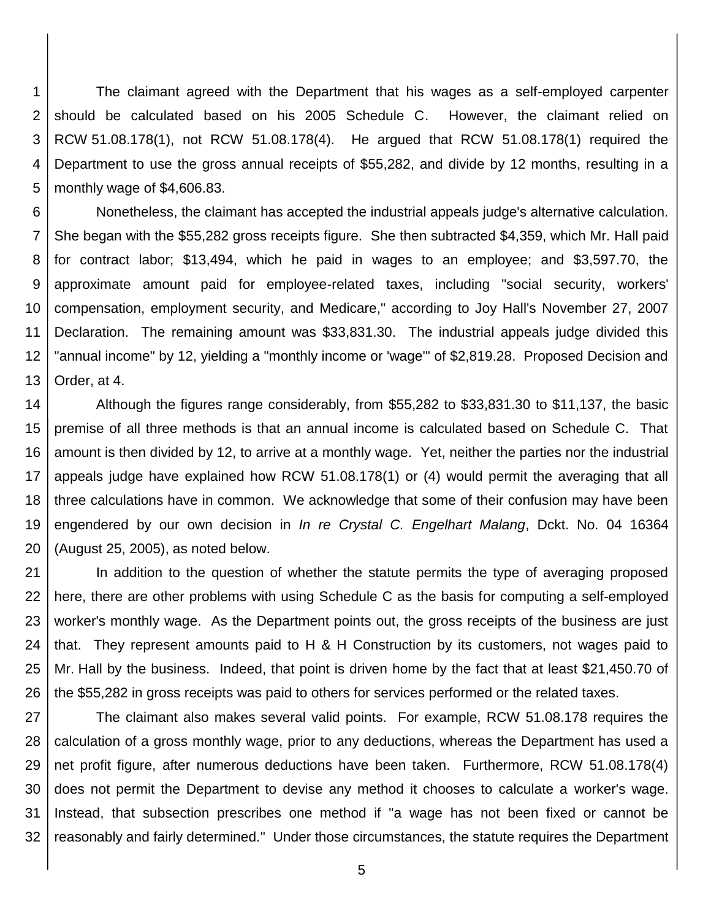1 2 3 4 5 The claimant agreed with the Department that his wages as a self-employed carpenter should be calculated based on his 2005 Schedule C. However, the claimant relied on RCW 51.08.178(1), not RCW 51.08.178(4). He argued that RCW 51.08.178(1) required the Department to use the gross annual receipts of \$55,282, and divide by 12 months, resulting in a monthly wage of \$4,606.83.

6 7 8 9 10 11 12 13 Nonetheless, the claimant has accepted the industrial appeals judge's alternative calculation. She began with the \$55,282 gross receipts figure. She then subtracted \$4,359, which Mr. Hall paid for contract labor; \$13,494, which he paid in wages to an employee; and \$3,597.70, the approximate amount paid for employee-related taxes, including "social security, workers' compensation, employment security, and Medicare," according to Joy Hall's November 27, 2007 Declaration. The remaining amount was \$33,831.30. The industrial appeals judge divided this "annual income" by 12, yielding a "monthly income or 'wage'" of \$2,819.28. Proposed Decision and Order, at 4.

14 15 16 17 18 19 20 Although the figures range considerably, from \$55,282 to \$33,831.30 to \$11,137, the basic premise of all three methods is that an annual income is calculated based on Schedule C. That amount is then divided by 12, to arrive at a monthly wage. Yet, neither the parties nor the industrial appeals judge have explained how RCW 51.08.178(1) or (4) would permit the averaging that all three calculations have in common. We acknowledge that some of their confusion may have been engendered by our own decision in *In re Crystal C. Engelhart Malang*, Dckt. No. 04 16364 (August 25, 2005), as noted below.

21 22 23 24 25 26 In addition to the question of whether the statute permits the type of averaging proposed here, there are other problems with using Schedule C as the basis for computing a self-employed worker's monthly wage. As the Department points out, the gross receipts of the business are just that. They represent amounts paid to H & H Construction by its customers, not wages paid to Mr. Hall by the business. Indeed, that point is driven home by the fact that at least \$21,450.70 of the \$55,282 in gross receipts was paid to others for services performed or the related taxes.

27 28 29 30 31 32 The claimant also makes several valid points. For example, RCW 51.08.178 requires the calculation of a gross monthly wage, prior to any deductions, whereas the Department has used a net profit figure, after numerous deductions have been taken. Furthermore, RCW 51.08.178(4) does not permit the Department to devise any method it chooses to calculate a worker's wage. Instead, that subsection prescribes one method if "a wage has not been fixed or cannot be reasonably and fairly determined." Under those circumstances, the statute requires the Department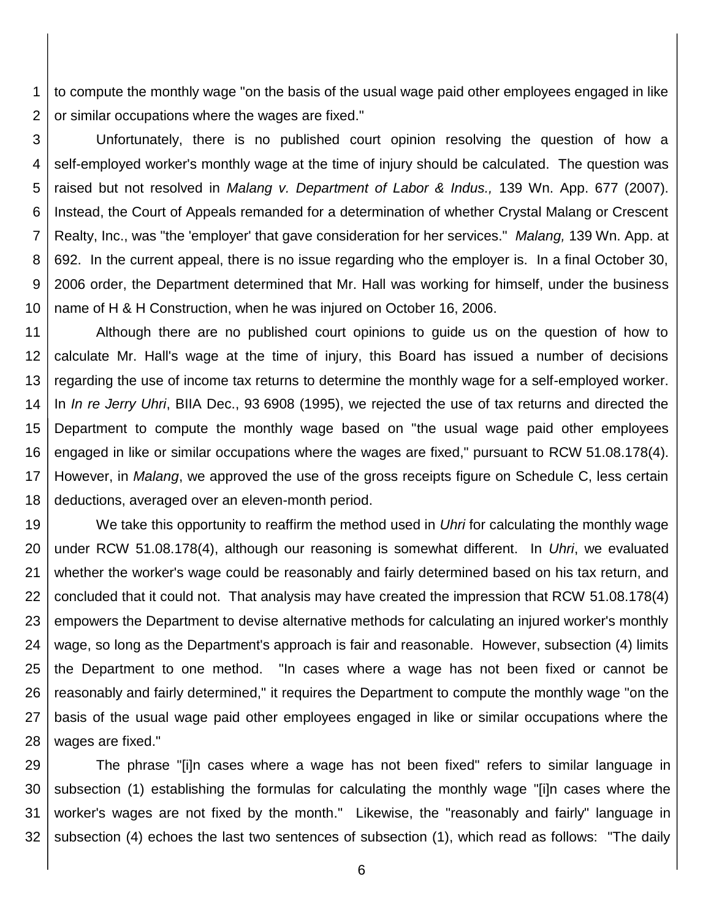1 2 to compute the monthly wage "on the basis of the usual wage paid other employees engaged in like or similar occupations where the wages are fixed."

3 4 5 6 7 8 9 10 Unfortunately, there is no published court opinion resolving the question of how a self-employed worker's monthly wage at the time of injury should be calculated. The question was raised but not resolved in *Malang v. Department of Labor & Indus.,* 139 Wn. App. 677 (2007). Instead, the Court of Appeals remanded for a determination of whether Crystal Malang or Crescent Realty, Inc., was "the 'employer' that gave consideration for her services." *Malang,* 139 Wn. App. at 692. In the current appeal, there is no issue regarding who the employer is. In a final October 30, 2006 order, the Department determined that Mr. Hall was working for himself, under the business name of H & H Construction, when he was injured on October 16, 2006.

11 12 13 14 15 16 17 18 Although there are no published court opinions to guide us on the question of how to calculate Mr. Hall's wage at the time of injury, this Board has issued a number of decisions regarding the use of income tax returns to determine the monthly wage for a self-employed worker. In *In re Jerry Uhri*, BIIA Dec., 93 6908 (1995), we rejected the use of tax returns and directed the Department to compute the monthly wage based on "the usual wage paid other employees engaged in like or similar occupations where the wages are fixed," pursuant to RCW 51.08.178(4). However, in *Malang*, we approved the use of the gross receipts figure on Schedule C, less certain deductions, averaged over an eleven-month period.

19 20 21 22 23 24 25 26 27 28 We take this opportunity to reaffirm the method used in *Uhri* for calculating the monthly wage under RCW 51.08.178(4), although our reasoning is somewhat different. In *Uhri*, we evaluated whether the worker's wage could be reasonably and fairly determined based on his tax return, and concluded that it could not. That analysis may have created the impression that RCW 51.08.178(4) empowers the Department to devise alternative methods for calculating an injured worker's monthly wage, so long as the Department's approach is fair and reasonable. However, subsection (4) limits the Department to one method. "In cases where a wage has not been fixed or cannot be reasonably and fairly determined," it requires the Department to compute the monthly wage "on the basis of the usual wage paid other employees engaged in like or similar occupations where the wages are fixed."

29 30 31 32 The phrase "[i]n cases where a wage has not been fixed" refers to similar language in subsection (1) establishing the formulas for calculating the monthly wage "[i]n cases where the worker's wages are not fixed by the month." Likewise, the "reasonably and fairly" language in subsection (4) echoes the last two sentences of subsection (1), which read as follows: "The daily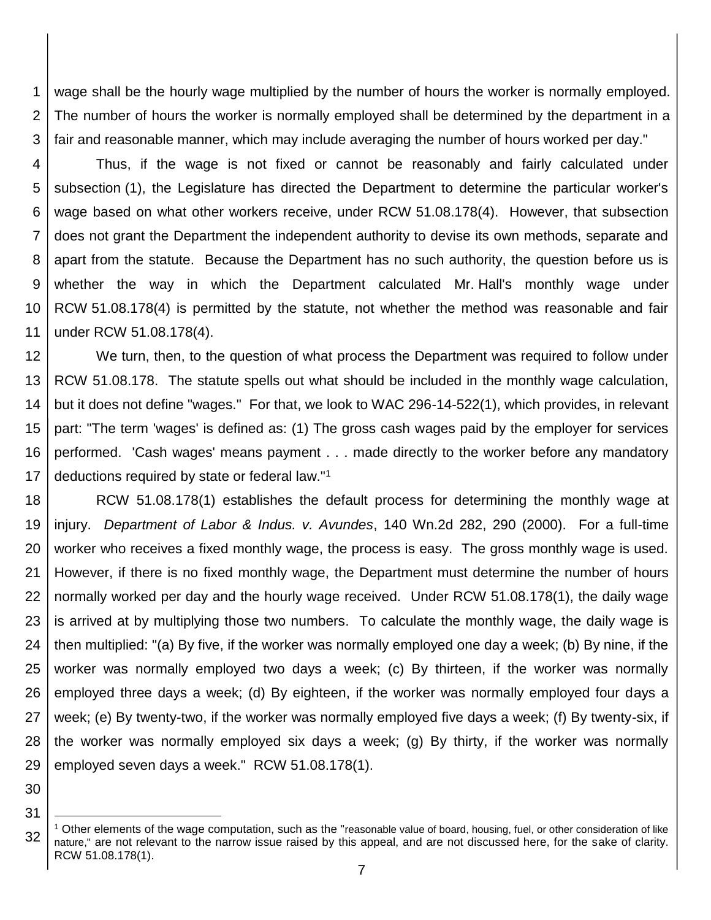1 2 3 wage shall be the hourly wage multiplied by the number of hours the worker is normally employed. The number of hours the worker is normally employed shall be determined by the department in a fair and reasonable manner, which may include averaging the number of hours worked per day."

4 5 6 7 8 9 10 11 Thus, if the wage is not fixed or cannot be reasonably and fairly calculated under subsection (1), the Legislature has directed the Department to determine the particular worker's wage based on what other workers receive, under RCW 51.08.178(4). However, that subsection does not grant the Department the independent authority to devise its own methods, separate and apart from the statute. Because the Department has no such authority, the question before us is whether the way in which the Department calculated Mr. Hall's monthly wage under RCW 51.08.178(4) is permitted by the statute, not whether the method was reasonable and fair under RCW 51.08.178(4).

12 13 14 15 16 17 We turn, then, to the question of what process the Department was required to follow under RCW 51.08.178. The statute spells out what should be included in the monthly wage calculation, but it does not define "wages." For that, we look to WAC 296-14-522(1), which provides, in relevant part: "The term 'wages' is defined as: (1) The gross cash wages paid by the employer for services performed. 'Cash wages' means payment . . . made directly to the worker before any mandatory deductions required by state or federal law."<sup>1</sup>

18 19 20 21 22 23 24 25 26 27 28 29 RCW 51.08.178(1) establishes the default process for determining the monthly wage at injury. *Department of Labor & Indus. v. Avundes*, 140 Wn.2d 282, 290 (2000). For a full-time worker who receives a fixed monthly wage, the process is easy. The gross monthly wage is used. However, if there is no fixed monthly wage, the Department must determine the number of hours normally worked per day and the hourly wage received. Under RCW 51.08.178(1), the daily wage is arrived at by multiplying those two numbers. To calculate the monthly wage, the daily wage is then multiplied: "(a) By five, if the worker was normally employed one day a week; (b) By nine, if the worker was normally employed two days a week; (c) By thirteen, if the worker was normally employed three days a week; (d) By eighteen, if the worker was normally employed four days a week; (e) By twenty-two, if the worker was normally employed five days a week; (f) By twenty-six, if the worker was normally employed six days a week; (g) By thirty, if the worker was normally employed seven days a week." RCW 51.08.178(1).

30 31

l

<sup>32</sup> <sup>1</sup> Other elements of the wage computation, such as the "reasonable value of board, housing, fuel, or other consideration of like nature," are not relevant to the narrow issue raised by this appeal, and are not discussed here, for the sake of clarity. RCW 51.08.178(1).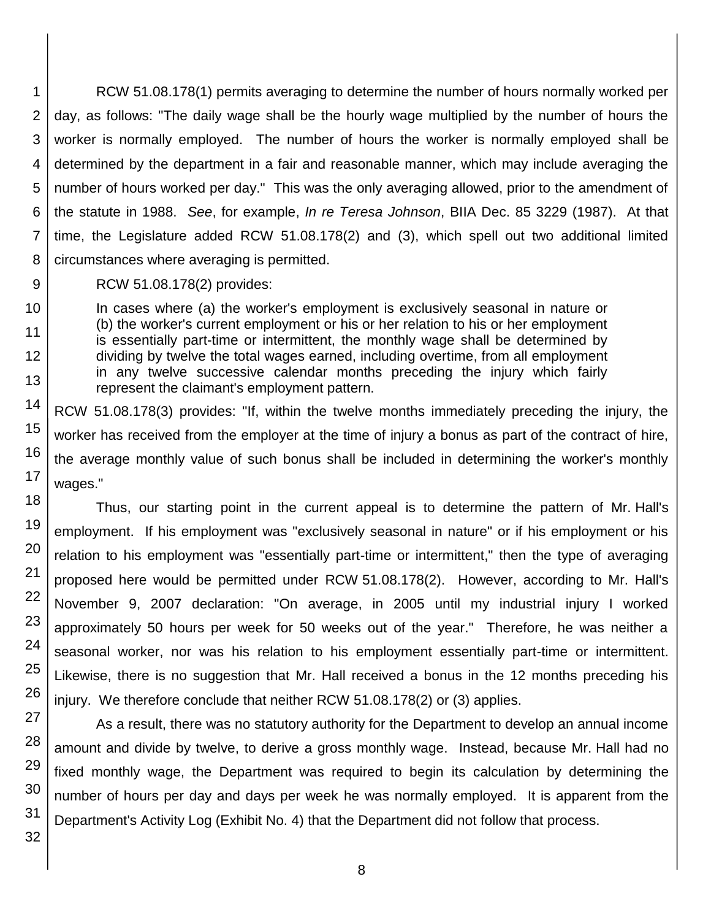1 2 3 4 5 6 7 8 RCW 51.08.178(1) permits averaging to determine the number of hours normally worked per day, as follows: "The daily wage shall be the hourly wage multiplied by the number of hours the worker is normally employed. The number of hours the worker is normally employed shall be determined by the department in a fair and reasonable manner, which may include averaging the number of hours worked per day." This was the only averaging allowed, prior to the amendment of the statute in 1988. *See*, for example, *In re Teresa Johnson*, BIIA Dec. 85 3229 (1987). At that time, the Legislature added RCW 51.08.178(2) and (3), which spell out two additional limited circumstances where averaging is permitted.

9

10

11

12

13

14

15

16

17 18

19

20

21

22

23

24

25

26

29

30

31

32

RCW 51.08.178(2) provides:

In cases where (a) the worker's employment is exclusively seasonal in nature or (b) the worker's current employment or his or her relation to his or her employment is essentially part-time or intermittent, the monthly wage shall be determined by dividing by twelve the total wages earned, including overtime, from all employment in any twelve successive calendar months preceding the injury which fairly represent the claimant's employment pattern.

RCW 51.08.178(3) provides: "If, within the twelve months immediately preceding the injury, the worker has received from the employer at the time of injury a bonus as part of the contract of hire, the average monthly value of such bonus shall be included in determining the worker's monthly wages."

Thus, our starting point in the current appeal is to determine the pattern of Mr. Hall's employment. If his employment was "exclusively seasonal in nature" or if his employment or his relation to his employment was "essentially part-time or intermittent," then the type of averaging proposed here would be permitted under RCW 51.08.178(2). However, according to Mr. Hall's November 9, 2007 declaration: "On average, in 2005 until my industrial injury I worked approximately 50 hours per week for 50 weeks out of the year." Therefore, he was neither a seasonal worker, nor was his relation to his employment essentially part-time or intermittent. Likewise, there is no suggestion that Mr. Hall received a bonus in the 12 months preceding his injury. We therefore conclude that neither RCW 51.08.178(2) or (3) applies.

27 28 As a result, there was no statutory authority for the Department to develop an annual income amount and divide by twelve, to derive a gross monthly wage. Instead, because Mr. Hall had no fixed monthly wage, the Department was required to begin its calculation by determining the number of hours per day and days per week he was normally employed. It is apparent from the Department's Activity Log (Exhibit No. 4) that the Department did not follow that process.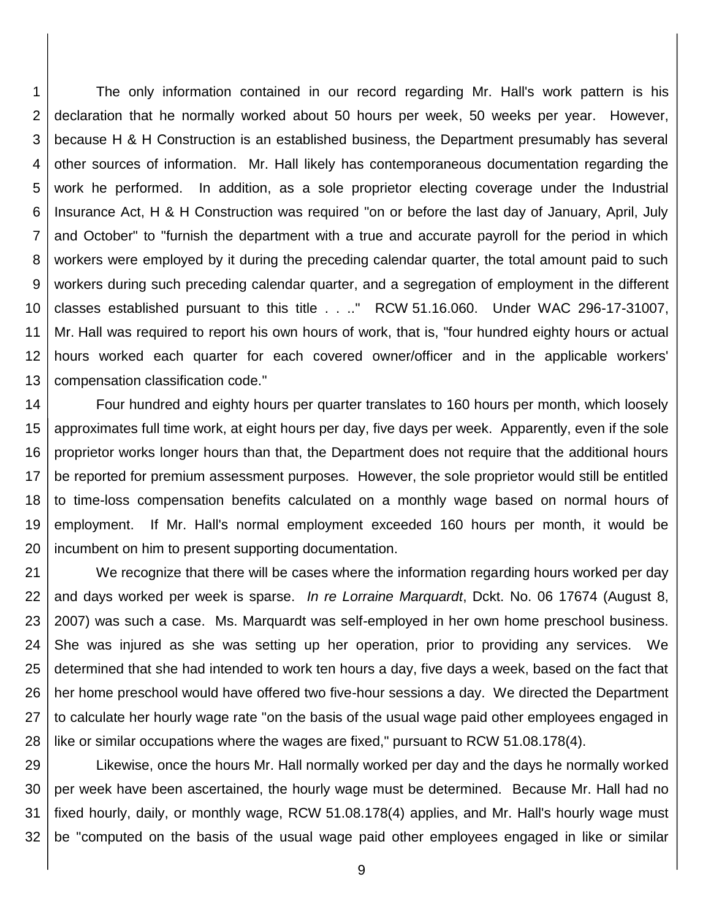1 2 3 4 5 6 7 8 9 10 11 12 13 The only information contained in our record regarding Mr. Hall's work pattern is his declaration that he normally worked about 50 hours per week, 50 weeks per year. However, because H & H Construction is an established business, the Department presumably has several other sources of information. Mr. Hall likely has contemporaneous documentation regarding the work he performed. In addition, as a sole proprietor electing coverage under the Industrial Insurance Act, H & H Construction was required "on or before the last day of January, April, July and October" to "furnish the department with a true and accurate payroll for the period in which workers were employed by it during the preceding calendar quarter, the total amount paid to such workers during such preceding calendar quarter, and a segregation of employment in the different classes established pursuant to this title . . .." RCW 51.16.060. Under WAC 296-17-31007, Mr. Hall was required to report his own hours of work, that is, "four hundred eighty hours or actual hours worked each quarter for each covered owner/officer and in the applicable workers' compensation classification code."

14 15 16 17 18 19 20 Four hundred and eighty hours per quarter translates to 160 hours per month, which loosely approximates full time work, at eight hours per day, five days per week. Apparently, even if the sole proprietor works longer hours than that, the Department does not require that the additional hours be reported for premium assessment purposes. However, the sole proprietor would still be entitled to time-loss compensation benefits calculated on a monthly wage based on normal hours of employment. If Mr. Hall's normal employment exceeded 160 hours per month, it would be incumbent on him to present supporting documentation.

21 22 23 24 25 26 27 28 We recognize that there will be cases where the information regarding hours worked per day and days worked per week is sparse. *In re Lorraine Marquardt*, Dckt. No. 06 17674 (August 8, 2007) was such a case. Ms. Marquardt was self-employed in her own home preschool business. She was injured as she was setting up her operation, prior to providing any services. We determined that she had intended to work ten hours a day, five days a week, based on the fact that her home preschool would have offered two five-hour sessions a day. We directed the Department to calculate her hourly wage rate "on the basis of the usual wage paid other employees engaged in like or similar occupations where the wages are fixed," pursuant to RCW 51.08.178(4).

29 30 31 32 Likewise, once the hours Mr. Hall normally worked per day and the days he normally worked per week have been ascertained, the hourly wage must be determined. Because Mr. Hall had no fixed hourly, daily, or monthly wage, RCW 51.08.178(4) applies, and Mr. Hall's hourly wage must be "computed on the basis of the usual wage paid other employees engaged in like or similar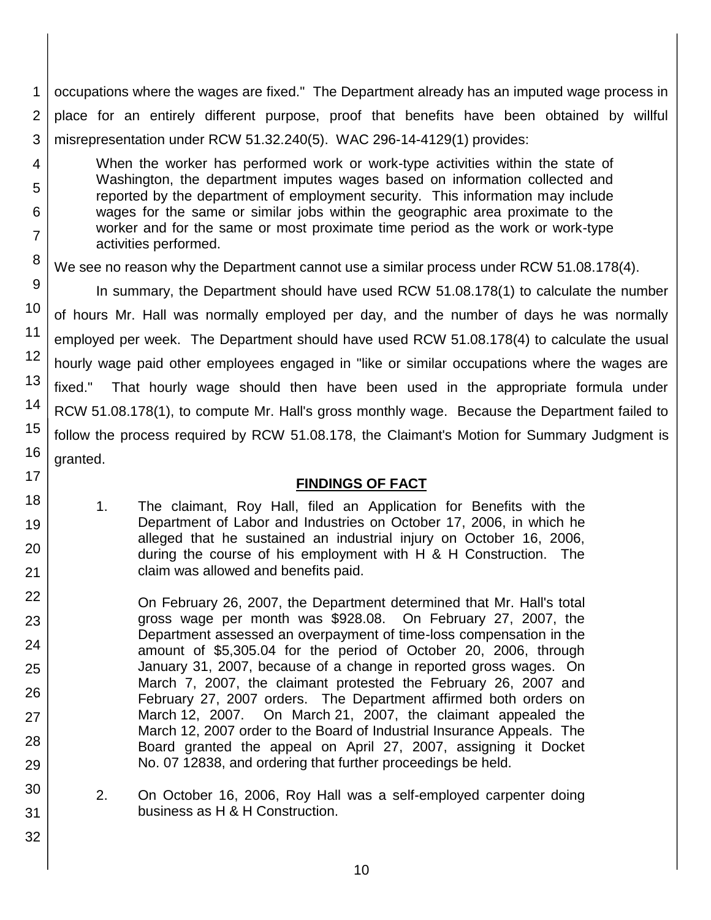1 2 3 occupations where the wages are fixed." The Department already has an imputed wage process in place for an entirely different purpose, proof that benefits have been obtained by willful misrepresentation under RCW 51.32.240(5). WAC 296-14-4129(1) provides:

When the worker has performed work or work-type activities within the state of Washington, the department imputes wages based on information collected and reported by the department of employment security. This information may include wages for the same or similar jobs within the geographic area proximate to the worker and for the same or most proximate time period as the work or work-type activities performed.

4

5

6

7

8 9

10

11

12

13

14

15

16

17

18

19

20

21

22

23

24

25

26

27

28

29

30

31

32

We see no reason why the Department cannot use a similar process under RCW 51.08.178(4).

In summary, the Department should have used RCW 51.08.178(1) to calculate the number of hours Mr. Hall was normally employed per day, and the number of days he was normally employed per week. The Department should have used RCW 51.08.178(4) to calculate the usual hourly wage paid other employees engaged in "like or similar occupations where the wages are fixed." That hourly wage should then have been used in the appropriate formula under RCW 51.08.178(1), to compute Mr. Hall's gross monthly wage. Because the Department failed to follow the process required by RCW 51.08.178, the Claimant's Motion for Summary Judgment is granted.

## **FINDINGS OF FACT**

1. The claimant, Roy Hall, filed an Application for Benefits with the Department of Labor and Industries on October 17, 2006, in which he alleged that he sustained an industrial injury on October 16, 2006, during the course of his employment with H & H Construction. The claim was allowed and benefits paid.

On February 26, 2007, the Department determined that Mr. Hall's total gross wage per month was \$928.08. On February 27, 2007, the Department assessed an overpayment of time-loss compensation in the amount of \$5,305.04 for the period of October 20, 2006, through January 31, 2007, because of a change in reported gross wages. On March 7, 2007, the claimant protested the February 26, 2007 and February 27, 2007 orders. The Department affirmed both orders on March 12, 2007. On March 21, 2007, the claimant appealed the March 12, 2007 order to the Board of Industrial Insurance Appeals. The Board granted the appeal on April 27, 2007, assigning it Docket No. 07 12838, and ordering that further proceedings be held.

2. On October 16, 2006, Roy Hall was a self-employed carpenter doing business as H & H Construction.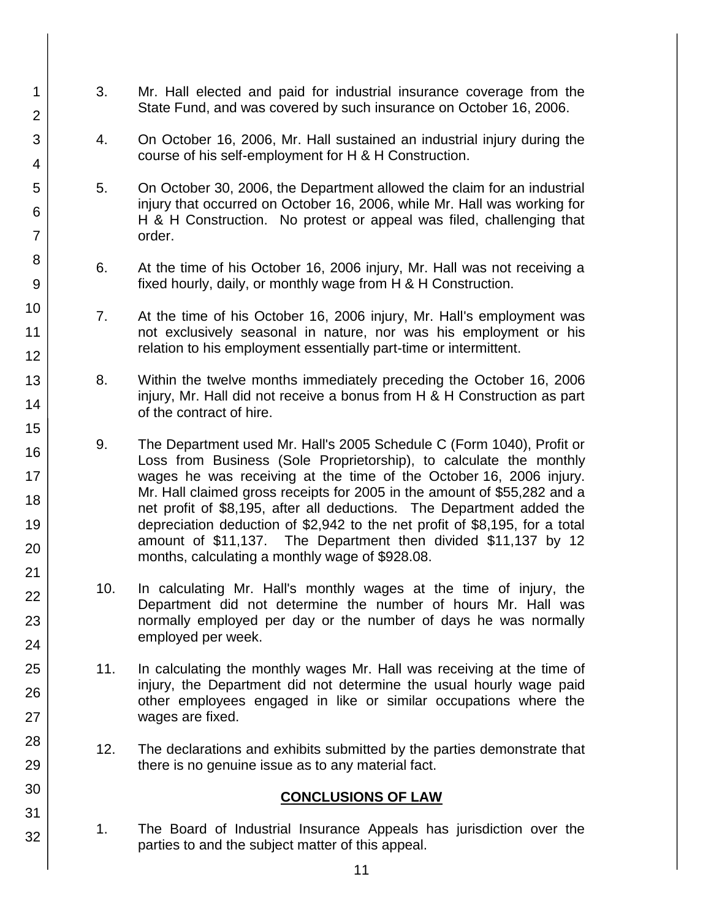3. Mr. Hall elected and paid for industrial insurance coverage from the State Fund, and was covered by such insurance on October 16, 2006.

1

2

3

4

5

6

7

8

9

10

11 12

13

14

15

16

17

18

19

20

21 22

23

24

25

26

27

28

29

30

31

32

- 4. On October 16, 2006, Mr. Hall sustained an industrial injury during the course of his self-employment for H & H Construction.
- 5. On October 30, 2006, the Department allowed the claim for an industrial injury that occurred on October 16, 2006, while Mr. Hall was working for H & H Construction. No protest or appeal was filed, challenging that order.
- 6. At the time of his October 16, 2006 injury, Mr. Hall was not receiving a fixed hourly, daily, or monthly wage from H & H Construction.
- 7. At the time of his October 16, 2006 injury, Mr. Hall's employment was not exclusively seasonal in nature, nor was his employment or his relation to his employment essentially part-time or intermittent.
- 8. Within the twelve months immediately preceding the October 16, 2006 injury, Mr. Hall did not receive a bonus from H & H Construction as part of the contract of hire.
- 9. The Department used Mr. Hall's 2005 Schedule C (Form 1040), Profit or Loss from Business (Sole Proprietorship), to calculate the monthly wages he was receiving at the time of the October 16, 2006 injury. Mr. Hall claimed gross receipts for 2005 in the amount of \$55,282 and a net profit of \$8,195, after all deductions. The Department added the depreciation deduction of \$2,942 to the net profit of \$8,195, for a total amount of \$11,137. The Department then divided \$11,137 by 12 months, calculating a monthly wage of \$928.08.
- 10. In calculating Mr. Hall's monthly wages at the time of injury, the Department did not determine the number of hours Mr. Hall was normally employed per day or the number of days he was normally employed per week.
- 11. In calculating the monthly wages Mr. Hall was receiving at the time of injury, the Department did not determine the usual hourly wage paid other employees engaged in like or similar occupations where the wages are fixed.
- 12. The declarations and exhibits submitted by the parties demonstrate that there is no genuine issue as to any material fact.

#### **CONCLUSIONS OF LAW**

1. The Board of Industrial Insurance Appeals has jurisdiction over the parties to and the subject matter of this appeal.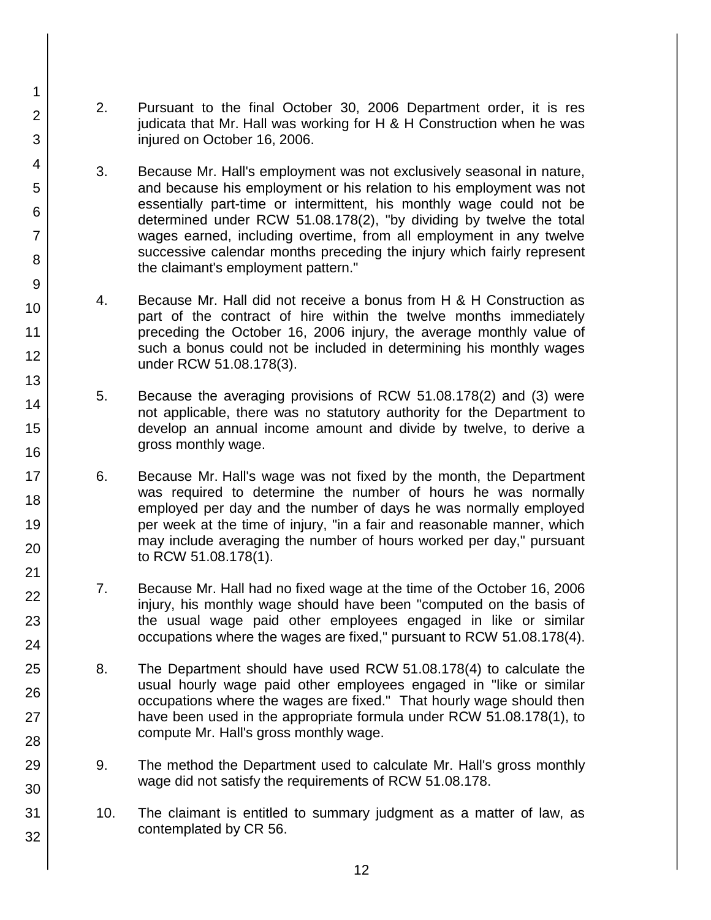2. Pursuant to the final October 30, 2006 Department order, it is res judicata that Mr. Hall was working for H & H Construction when he was injured on October 16, 2006.

1

2

3

4

5

6

7

8

9

10

11

12

13

14

15

16

17 18

19

20

21 22

23

24

25

26

27

28

29

30

31

- 3. Because Mr. Hall's employment was not exclusively seasonal in nature, and because his employment or his relation to his employment was not essentially part-time or intermittent, his monthly wage could not be determined under RCW 51.08.178(2), "by dividing by twelve the total wages earned, including overtime, from all employment in any twelve successive calendar months preceding the injury which fairly represent the claimant's employment pattern."
- 4. Because Mr. Hall did not receive a bonus from H & H Construction as part of the contract of hire within the twelve months immediately preceding the October 16, 2006 injury, the average monthly value of such a bonus could not be included in determining his monthly wages under RCW 51.08.178(3).
- 5. Because the averaging provisions of RCW 51.08.178(2) and (3) were not applicable, there was no statutory authority for the Department to develop an annual income amount and divide by twelve, to derive a gross monthly wage.
- 6. Because Mr. Hall's wage was not fixed by the month, the Department was required to determine the number of hours he was normally employed per day and the number of days he was normally employed per week at the time of injury, "in a fair and reasonable manner, which may include averaging the number of hours worked per day," pursuant to RCW 51.08.178(1).
- 7. Because Mr. Hall had no fixed wage at the time of the October 16, 2006 injury, his monthly wage should have been "computed on the basis of the usual wage paid other employees engaged in like or similar occupations where the wages are fixed," pursuant to RCW 51.08.178(4).
- 8. The Department should have used RCW 51.08.178(4) to calculate the usual hourly wage paid other employees engaged in "like or similar occupations where the wages are fixed." That hourly wage should then have been used in the appropriate formula under RCW 51.08.178(1), to compute Mr. Hall's gross monthly wage.
- 9. The method the Department used to calculate Mr. Hall's gross monthly wage did not satisfy the requirements of RCW 51.08.178.
	- 10. The claimant is entitled to summary judgment as a matter of law, as contemplated by CR 56.